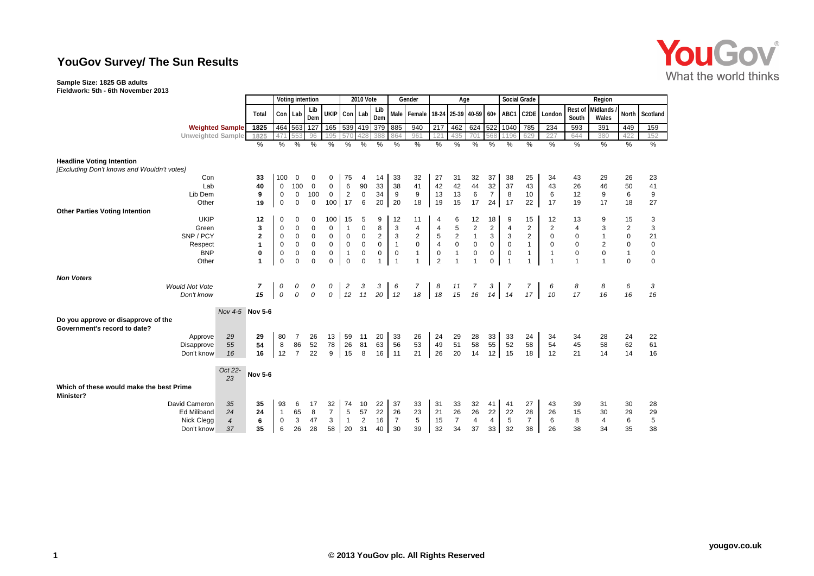## **YouGov Survey/ The Sun Results**

## **Sample Size: 1825 GB adults**

**Fieldwork: 5th - 6th November 2013**

|                                                                                |                        | Voting intention |              |                | <b>2010 Vote</b> |                  |                | Gender         |                | Age            |                   |                |                 |                  | <b>Social Grade</b> |                | Region            |                |                  |                   |                |             |
|--------------------------------------------------------------------------------|------------------------|------------------|--------------|----------------|------------------|------------------|----------------|----------------|----------------|----------------|-------------------|----------------|-----------------|------------------|---------------------|----------------|-------------------|----------------|------------------|-------------------|----------------|-------------|
|                                                                                |                        | Total            |              | Con Lab        | Lib<br>Dem       | UKIP Con Lab     |                |                | Lib<br>Dem     |                | Male Female 18-24 |                | 25-39 40-59 60+ |                  |                     | ABC1           | C <sub>2</sub> DE | London         | Rest of<br>South | Midlands<br>Wales | <b>North</b>   | Scotland    |
|                                                                                | <b>Weighted Sample</b> | 1825             |              | 464 563        | 127              | 165 539 419      |                |                | 379            | 885            | 940               | 217            | 462             | 624              | 522                 | 1040           | 785               | 234            | 593              | 391               | 449            | 159         |
| <b>Unweighted Sample</b>                                                       |                        | 1825             |              |                | 96               | 195              |                |                | 388            |                | 961               | 12'            | 435             | 701              | 568                 | 1196           | 629               | 227            | 644              | 380               | 422            | 152         |
|                                                                                |                        | %                | %            | $\%$           | %                | %                | %              | %              | $\frac{0}{2}$  | %              | $\frac{9}{6}$     | $\%$           | %               | %                | $\frac{0}{0}$       | $\frac{0}{2}$  | %                 | %              | %                | $\%$              | $\%$           | %           |
| <b>Headline Voting Intention</b><br>[Excluding Don't knows and Wouldn't votes] |                        |                  |              |                |                  |                  |                |                |                |                |                   |                |                 |                  |                     |                |                   |                |                  |                   |                |             |
| Con                                                                            |                        | 33               | 100          | $\mathbf 0$    | 0                | 0                | 75             | 4              | 14             | 33             | 32                | 27             | 31              | 32               | 37                  | 38             | 25                | 34             | 43               | 29                | 26             | 23          |
| Lab                                                                            |                        | 40               | $\mathbf 0$  | 100            | $\mathbf 0$      | 0                | 6              | 90             | 33             | 38             | 41                | 42             | 42              | 44               | 32                  | 37             | 43                | 43             | 26               | 46                | 50             | 41          |
| Lib Dem                                                                        |                        | 9                | 0            | $\mathbf 0$    | 100              | 0                | $\overline{2}$ | $\mathbf 0$    | 34             | 9              | 9                 | 13             | 13              | 6                | $\overline{7}$      | 8              | 10                | 6              | 12               | 9                 | 6              | 9           |
| Other                                                                          |                        | 19               | $\mathbf 0$  | $\Omega$       | $\mathbf 0$      | 100 <sup>1</sup> | 17             | 6              | 20             | 20             | 18                | 19             | 15              | 17               | 24                  | 17             | 22                | 17             | 19               | 17                | 18             | 27          |
| <b>Other Parties Voting Intention</b>                                          |                        |                  |              |                |                  |                  |                |                |                |                |                   |                |                 |                  |                     |                |                   |                |                  |                   |                |             |
| <b>UKIP</b>                                                                    |                        | 12               | 0            | $\Omega$       | $\Omega$         | 100              | 15             | 5              | 9              | 12             | 11                | 4              | 6               | 12               | 18                  | 9              | 15                | 12             | 13               | 9                 | 15             | 3           |
| Green                                                                          |                        | 3                | $\mathbf 0$  | $\mathbf 0$    | $\mathbf 0$      | 0                | -1             | $\mathbf 0$    | 8              | 3              | 4                 | 4              | 5               | $\boldsymbol{2}$ | $\overline{2}$      | 4              | $\overline{2}$    | $\overline{2}$ | $\overline{4}$   | 3                 | $\overline{2}$ | 3           |
| SNP / PCY                                                                      |                        | $\mathbf 2$      | 0            | $\pmb{0}$      | $\mathbf 0$      | 0                | $\mathbf 0$    | $\mathbf 0$    | $\overline{2}$ | 3              | $\overline{c}$    | $\,$ 5 $\,$    | $\overline{2}$  | $\mathbf{1}$     | 3                   | 3              | $\overline{c}$    | 0              | 0                | $\mathbf{1}$      | $\mathsf 0$    | 21          |
| Respect                                                                        |                        | 1                | $\mathbf 0$  | $\mathbf 0$    | $\pmb{0}$        | $\mathbf 0$      | $\mathbf 0$    | $\mathbf 0$    | $\mathbf 0$    | $\mathbf{1}$   | $\mathsf 0$       | $\overline{4}$ | $\mathbf 0$     | $\mathbf 0$      | $\mathbf 0$         | $\mathbf 0$    | $\mathbf{1}$      | $\Omega$       | $\mathbf 0$      | $\overline{c}$    | $\mathsf 0$    | $\mathbf 0$ |
| <b>BNP</b>                                                                     |                        | 0                | 0            | $\mathbf 0$    | $\mathbf 0$      | $\mathbf 0$      | $\overline{1}$ | $\mathbf 0$    | $\mathbf 0$    | $\mathbf 0$    | $\mathbf{1}$      | $\mathbf 0$    | $\mathbf{1}$    | $\pmb{0}$        | $\mathbf 0$         | $\mathbf 0$    | 1                 | $\mathbf{1}$   | $\pmb{0}$        | $\mathbf 0$       | $\mathbf{1}$   | $\mathbf 0$ |
| Other                                                                          |                        | 1                | $\mathbf 0$  | $\overline{0}$ | $\mathbf 0$      | $\mathbf 0$      | $\mathbf 0$    | $\mathbf 0$    | 1              | $\overline{1}$ |                   | $\overline{2}$ | $\overline{1}$  |                  | $\mathbf 0$         | $\overline{1}$ |                   |                |                  | $\mathbf{1}$      | $\mathbf 0$    | $\mathbf 0$ |
| <b>Non Voters</b>                                                              |                        |                  |              |                |                  |                  |                |                |                |                |                   |                |                 |                  |                     |                |                   |                |                  |                   |                |             |
| <b>Would Not Vote</b>                                                          |                        | 7                | 0            | 0              | 0                | 0                | $\overline{c}$ | 3              | 3              | 6              | $\overline{7}$    | 8              | $\frac{11}{15}$ | $\frac{7}{16}$   | 3                   | 7              | 7                 | 6              | 8                | 8                 | 6              | 3           |
| Don't know                                                                     |                        | 15               | $\cal O$     | $\mathcal O$   | 0                | 0                | 12             | 11             |                | $20 \mid 12$   | 18                | 18             |                 |                  |                     | $14$ 14        | 17                | 10             | 17               | 16                | 16             | 16          |
| Do you approve or disapprove of the                                            | Nov 4-5 Nov 5-6        |                  |              |                |                  |                  |                |                |                |                |                   |                |                 |                  |                     |                |                   |                |                  |                   |                |             |
| Government's record to date?                                                   |                        |                  |              |                |                  |                  |                |                |                |                |                   |                |                 |                  |                     |                |                   |                |                  |                   |                |             |
| Approve                                                                        | 29                     | 29               | 80           | 7              | 26               | 13               | 59             | 11             | 20             | 33             | 26                | 24             | 29              | 28               | 33                  | 33             | 24                | 34             | 34               | 28                | 24             | 22          |
| Disapprove                                                                     | 55                     | 54               | 8            | 86             | 52               | 78               | 26             | 81             | 63             | 56             | 53                | 49             | 51              | 58               | 55                  | 52             | 58                | 54             | 45               | 58                | 62             | 61          |
| Don't know                                                                     | 16                     | 16               | 12           | $\overline{7}$ | 22               | 9                | 15             | 8              | 16             | 11             | 21                | 26             | 20              | 14               | 12 <sub>1</sub>     | 15             | 18                | 12             | 21               | 14                | 14             | 16          |
|                                                                                |                        |                  |              |                |                  |                  |                |                |                |                |                   |                |                 |                  |                     |                |                   |                |                  |                   |                |             |
|                                                                                | Oct 22-<br>23          | <b>Nov 5-6</b>   |              |                |                  |                  |                |                |                |                |                   |                |                 |                  |                     |                |                   |                |                  |                   |                |             |
| Which of these would make the best Prime                                       |                        |                  |              |                |                  |                  |                |                |                |                |                   |                |                 |                  |                     |                |                   |                |                  |                   |                |             |
| <b>Minister?</b>                                                               |                        |                  |              |                |                  |                  |                |                |                |                |                   |                |                 |                  |                     |                |                   |                |                  |                   |                |             |
| David Cameron                                                                  | 35                     | 35               | 93           | 6              | 17               | 32               | 74             | 10             | 22             | 37             | 33                | 31             | 33              | 32               | 41                  | 41             | 27                | 43             | 39               | 31                | 30             | 28          |
| <b>Ed Miliband</b>                                                             | 24                     | 24               | $\mathbf{1}$ | 65             | 8                | $\overline{7}$   | 5              | 57             | 22             | 26             | 23                | 21             | 26              | 26               | 22                  | 22             | 28                | 26             | 15               | 30                | 29             | 29          |
| Nick Clegg                                                                     | $\overline{4}$         | 6                | 0            | 3              | 47               | 3                | $\overline{1}$ | $\overline{2}$ | 16             | $\overline{7}$ | 5                 | 15             | $\overline{7}$  | $\overline{4}$   | $\overline{4}$      | 5              | $\overline{7}$    | 6              | 8                | $\overline{4}$    | 6              | 5           |
| Don't know                                                                     | 37                     | 35               | 6            | 26             | 28               | 58               | 20             | 31             | 40             | 30             | 39                | 32             | 34              | 37               | 33                  | 32             | 38                | 26             | 38               | 34                | 35             | 38          |